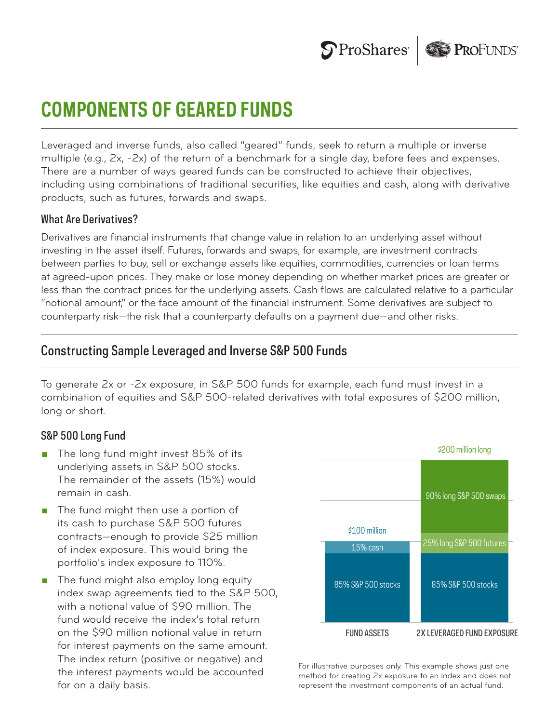

# **COMPONENTS OF GEARED FUNDS**

Leveraged and inverse funds, also called "geared" funds, seek to return a multiple or inverse multiple (e.g., 2x, -2x) of the return of a benchmark for a single day, before fees and expenses. There are a number of ways geared funds can be constructed to achieve their objectives, including using combinations of traditional securities, like equities and cash, along with derivative products, such as futures, forwards and swaps.

#### What Are Derivatives?

Derivatives are financial instruments that change value in relation to an underlying asset without investing in the asset itself. Futures, forwards and swaps, for example, are investment contracts between parties to buy, sell or exchange assets like equities, commodities, currencies or loan terms at agreed-upon prices. They make or lose money depending on whether market prices are greater or less than the contract prices for the underlying assets. Cash flows are calculated relative to a particular "notional amount," or the face amount of the financial instrument. Some derivatives are subject to counterparty risk—the risk that a counterparty defaults on a payment due—and other risks.

## Constructing Sample Leveraged and Inverse S&P 500 Funds

To generate 2x or -2x exposure, in S&P 500 funds for example, each fund must invest in a combination of equities and S&P 500-related derivatives with total exposures of \$200 million, long or short.

### S&P 500 Long Fund

- The long fund might invest 85% of its underlying assets in S&P 500 stocks. The remainder of the assets (15%) would remain in cash.
- $\blacksquare$  The fund might then use a portion of its cash to purchase S&P 500 futures contracts—enough to provide \$25 million of index exposure. This would bring the portfolio's index exposure to 110%.
- $\blacksquare$  The fund might also employ long equity index swap agreements tied to the S&P 500, with a notional value of \$90 million. The fund would receive the index's total return on the \$90 million notional value in return for interest payments on the same amount. The index return (positive or negative) and the interest payments would be accounted for on a daily basis.



For illustrative purposes only. This example shows just one method for creating 2x exposure to an index and does not represent the investment components of an actual fund.